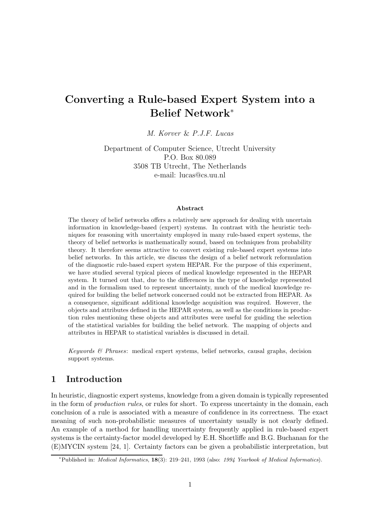# Converting a Rule-based Expert System into a Belief Network<sup>∗</sup>

M. Korver & P.J.F. Lucas

Department of Computer Science, Utrecht University P.O. Box 80.089 3508 TB Utrecht, The Netherlands e-mail: lucas@cs.uu.nl

#### Abstract

The theory of belief networks offers a relatively new approach for dealing with uncertain information in knowledge-based (expert) systems. In contrast with the heuristic techniques for reasoning with uncertainty employed in many rule-based expert systems, the theory of belief networks is mathematically sound, based on techniques from probability theory. It therefore seems attractive to convert existing rule-based expert systems into belief networks. In this article, we discuss the design of a belief network reformulation of the diagnostic rule-based expert system HEPAR. For the purpose of this experiment, we have studied several typical pieces of medical knowledge represented in the HEPAR system. It turned out that, due to the differences in the type of knowledge represented and in the formalism used to represent uncertainty, much of the medical knowledge required for building the belief network concerned could not be extracted from HEPAR. As a consequence, significant additional knowledge acquisition was required. However, the objects and attributes defined in the HEPAR system, as well as the conditions in production rules mentioning these objects and attributes were useful for guiding the selection of the statistical variables for building the belief network. The mapping of objects and attributes in HEPAR to statistical variables is discussed in detail.

Keywords  $\mathcal{B}$  Phrases: medical expert systems, belief networks, causal graphs, decision support systems.

# 1 Introduction

In heuristic, diagnostic expert systems, knowledge from a given domain is typically represented in the form of *production rules*, or rules for short. To express uncertainty in the domain, each conclusion of a rule is associated with a measure of confidence in its correctness. The exact meaning of such non-probabilistic measures of uncertainty usually is not clearly defined. An example of a method for handling uncertainty frequently applied in rule-based expert systems is the certainty-factor model developed by E.H. Shortliffe and B.G. Buchanan for the (E)MYCIN system [24, 1]. Certainty factors can be given a probabilistic interpretation, but

<sup>∗</sup>Published in: Medical Informatics, 18(3): 219–241, 1993 (also: 1994 Yearbook of Medical Informatics).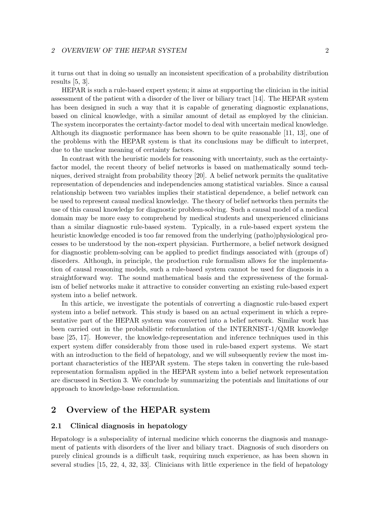it turns out that in doing so usually an inconsistent specification of a probability distribution results [5, 3].

HEPAR is such a rule-based expert system; it aims at supporting the clinician in the initial assessment of the patient with a disorder of the liver or biliary tract [14]. The HEPAR system has been designed in such a way that it is capable of generating diagnostic explanations, based on clinical knowledge, with a similar amount of detail as employed by the clinician. The system incorporates the certainty-factor model to deal with uncertain medical knowledge. Although its diagnostic performance has been shown to be quite reasonable [11, 13], one of the problems with the HEPAR system is that its conclusions may be difficult to interpret, due to the unclear meaning of certainty factors.

In contrast with the heuristic models for reasoning with uncertainty, such as the certaintyfactor model, the recent theory of belief networks is based on mathematically sound techniques, derived straight from probability theory [20]. A belief network permits the qualitative representation of dependencies and independencies among statistical variables. Since a causal relationship between two variables implies their statistical dependence, a belief network can be used to represent causal medical knowledge. The theory of belief networks then permits the use of this causal knowledge for diagnostic problem-solving. Such a causal model of a medical domain may be more easy to comprehend by medical students and unexperienced clinicians than a similar diagnostic rule-based system. Typically, in a rule-based expert system the heuristic knowledge encoded is too far removed from the underlying (patho)physiological processes to be understood by the non-expert physician. Furthermore, a belief network designed for diagnostic problem-solving can be applied to predict findings associated with (groups of) disorders. Although, in principle, the production rule formalism allows for the implementation of causal reasoning models, such a rule-based system cannot be used for diagnosis in a straightforward way. The sound mathematical basis and the expressiveness of the formalism of belief networks make it attractive to consider converting an existing rule-based expert system into a belief network.

In this article, we investigate the potentials of converting a diagnostic rule-based expert system into a belief network. This study is based on an actual experiment in which a representative part of the HEPAR system was converted into a belief network. Similar work has been carried out in the probabilistic reformulation of the INTERNIST-1/QMR knowledge base [25, 17]. However, the knowledge-representation and inference techniques used in this expert system differ considerably from those used in rule-based expert systems. We start with an introduction to the field of hepatology, and we will subsequently review the most important characteristics of the HEPAR system. The steps taken in converting the rule-based representation formalism applied in the HEPAR system into a belief network representation are discussed in Section 3. We conclude by summarizing the potentials and limitations of our approach to knowledge-base reformulation.

# 2 Overview of the HEPAR system

### 2.1 Clinical diagnosis in hepatology

Hepatology is a subspeciality of internal medicine which concerns the diagnosis and management of patients with disorders of the liver and biliary tract. Diagnosis of such disorders on purely clinical grounds is a difficult task, requiring much experience, as has been shown in several studies [15, 22, 4, 32, 33]. Clinicians with little experience in the field of hepatology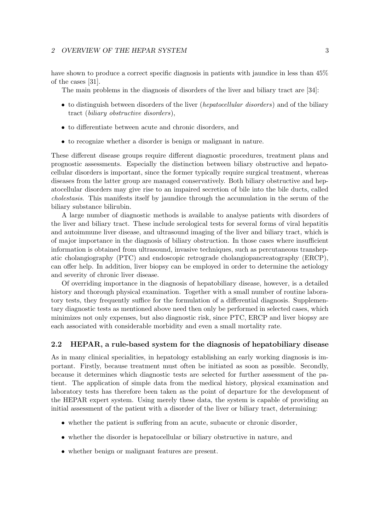have shown to produce a correct specific diagnosis in patients with jaundice in less than  $45\%$ of the cases [31].

The main problems in the diagnosis of disorders of the liver and biliary tract are [34]:

- to distinguish between disorders of the liver (*hepatocellular disorders*) and of the biliary tract (biliary obstructive disorders),
- to differentiate between acute and chronic disorders, and
- to recognize whether a disorder is benign or malignant in nature.

These different disease groups require different diagnostic procedures, treatment plans and prognostic assessments. Especially the distinction between biliary obstructive and hepatocellular disorders is important, since the former typically require surgical treatment, whereas diseases from the latter group are managed conservatively. Both biliary obstructive and hepatocellular disorders may give rise to an impaired secretion of bile into the bile ducts, called cholestasis. This manifests itself by jaundice through the accumulation in the serum of the biliary substance bilirubin.

A large number of diagnostic methods is available to analyse patients with disorders of the liver and biliary tract. These include serological tests for several forms of viral hepatitis and autoimmune liver disease, and ultrasound imaging of the liver and biliary tract, which is of major importance in the diagnosis of biliary obstruction. In those cases where insufficient information is obtained from ultrasound, invasive techniques, such as percutaneous transhepatic cholangiography (PTC) and endoscopic retrograde cholangiopancreatography (ERCP), can offer help. In addition, liver biopsy can be employed in order to determine the aetiology and severity of chronic liver disease.

Of overriding importance in the diagnosis of hepatobiliary disease, however, is a detailed history and thorough physical examination. Together with a small number of routine laboratory tests, they frequently suffice for the formulation of a differential diagnosis. Supplementary diagnostic tests as mentioned above need then only be performed in selected cases, which minimizes not only expenses, but also diagnostic risk, since PTC, ERCP and liver biopsy are each associated with considerable morbidity and even a small mortality rate.

# 2.2 HEPAR, a rule-based system for the diagnosis of hepatobiliary disease

As in many clinical specialities, in hepatology establishing an early working diagnosis is important. Firstly, because treatment must often be initiated as soon as possible. Secondly, because it determines which diagnostic tests are selected for further assessment of the patient. The application of simple data from the medical history, physical examination and laboratory tests has therefore been taken as the point of departure for the development of the HEPAR expert system. Using merely these data, the system is capable of providing an initial assessment of the patient with a disorder of the liver or biliary tract, determining:

- whether the patient is suffering from an acute, subacute or chronic disorder,
- whether the disorder is hepatocellular or biliary obstructive in nature, and
- whether benign or malignant features are present.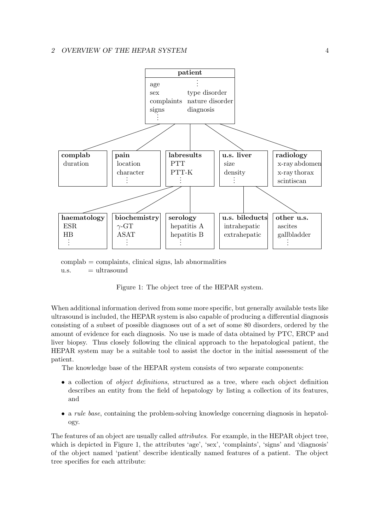

 $\text{complex} = \text{complaints}, \text{clinical signs}, \text{lab abnormalities}$  $u.s. = ultrasound$ 



When additional information derived from some more specific, but generally available tests like ultrasound is included, the HEPAR system is also capable of producing a differential diagnosis consisting of a subset of possible diagnoses out of a set of some 80 disorders, ordered by the amount of evidence for each diagnosis. No use is made of data obtained by PTC, ERCP and liver biopsy. Thus closely following the clinical approach to the hepatological patient, the HEPAR system may be a suitable tool to assist the doctor in the initial assessment of the patient.

The knowledge base of the HEPAR system consists of two separate components:

- a collection of *object definitions*, structured as a tree, where each object definition describes an entity from the field of hepatology by listing a collection of its features, and
- a *rule base*, containing the problem-solving knowledge concerning diagnosis in hepatology.

The features of an object are usually called attributes. For example, in the HEPAR object tree, which is depicted in Figure 1, the attributes 'age', 'sex', 'complaints', 'signs' and 'diagnosis' of the object named 'patient' describe identically named features of a patient. The object tree specifies for each attribute: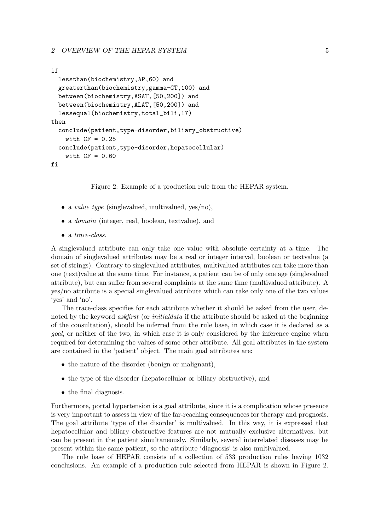#### if

```
lessthan(biochemistry,AP,60) and
 greaterthan(biochemistry,gamma-GT,100) and
 between(biochemistry,ASAT,[50,200]) and
 between(biochemistry,ALAT,[50,200]) and
 lessequal(biochemistry,total_bili,17)
then
  conclude(patient,type-disorder,biliary_obstructive)
   with CF = 0.25conclude(patient,type-disorder,hepatocellular)
   with CF = 0.60fi
```
Figure 2: Example of a production rule from the HEPAR system.

- a *value type* (singlevalued, multivalued,  $yes/no)$ ,
- a *domain* (integer, real, boolean, textvalue), and
- a *trace-class*.

A singlevalued attribute can only take one value with absolute certainty at a time. The domain of singlevalued attributes may be a real or integer interval, boolean or textvalue (a set of strings). Contrary to singlevalued attributes, multivalued attributes can take more than one (text)value at the same time. For instance, a patient can be of only one age (singlevalued attribute), but can suffer from several complaints at the same time (multivalued attribute). A yes/no attribute is a special singlevalued attribute which can take only one of the two values 'yes' and 'no'.

The trace-class specifies for each attribute whether it should be asked from the user, denoted by the keyword *askfirst* (or *initialdata* if the attribute should be asked at the beginning of the consultation), should be inferred from the rule base, in which case it is declared as a goal, or neither of the two, in which case it is only considered by the inference engine when required for determining the values of some other attribute. All goal attributes in the system are contained in the 'patient' object. The main goal attributes are:

- the nature of the disorder (benign or malignant),
- the type of the disorder (hepatocellular or biliary obstructive), and
- the final diagnosis.

Furthermore, portal hypertension is a goal attribute, since it is a complication whose presence is very important to assess in view of the far-reaching consequences for therapy and prognosis. The goal attribute 'type of the disorder' is multivalued. In this way, it is expressed that hepatocellular and biliary obstructive features are not mutually exclusive alternatives, but can be present in the patient simultaneously. Similarly, several interrelated diseases may be present within the same patient, so the attribute 'diagnosis' is also multivalued.

The rule base of HEPAR consists of a collection of 533 production rules having 1032 conclusions. An example of a production rule selected from HEPAR is shown in Figure 2.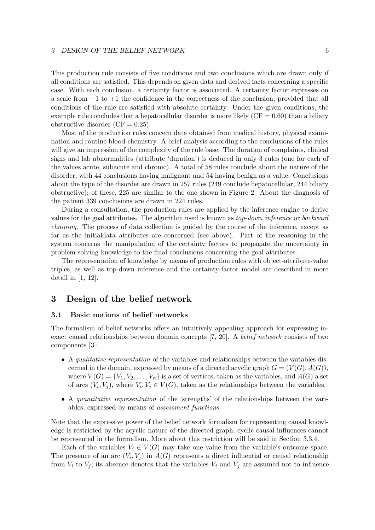This production rule consists of five conditions and two conclusions which are drawn only if all conditions are satisfied. This depends on given data and derived facts concerning a specific case. With each conclusion, a certainty factor is associated. A certainty factor expresses on a scale from −1 to +1 the confidence in the correctness of the conclusion, provided that all conditions of the rule are satisfied with absolute certainty. Under the given conditions, the example rule concludes that a hepatocellular disorder is more likely  $(CF = 0.60)$  than a biliary obstructive disorder  $(CF = 0.25)$ .

Most of the production rules concern data obtained from medical history, physical examination and routine blood-chemistry. A brief analysis according to the conclusions of the rules will give an impression of the complexity of the rule base. The duration of complaints, clinical signs and lab abnormalities (attribute 'duration') is deduced in only 3 rules (one for each of the values acute, subacute and chronic). A total of 58 rules conclude about the nature of the disorder, with 44 conclusions having malignant and 54 having benign as a value. Conclusions about the type of the disorder are drawn in 257 rules (249 conclude hepatocellular, 244 biliary obstructive); of these, 225 are similar to the one shown in Figure 2. About the diagnosis of the patient 339 conclusions are drawn in 224 rules.

During a consultation, the production rules are applied by the inference engine to derive values for the goal attributes. The algorithm used is known as top-down inference or backward chaining. The process of data collection is guided by the course of the inference, except as far as the initialdata attributes are concerned (see above). Part of the reasoning in the system concerns the manipulation of the certainty factors to propagate the uncertainty in problem-solving knowledge to the final conclusions concerning the goal attributes.

The representation of knowledge by means of production rules with object-attribute-value triples, as well as top-down inference and the certainty-factor model are described in more detail in [1, 12].

# 3 Design of the belief network

# 3.1 Basic notions of belief networks

The formalism of belief networks offers an intuitively appealing approach for expressing inexact causal relationships between domain concepts [7, 20]. A belief network consists of two components [3]:

- A qualitative representation of the variables and relationships between the variables discerned in the domain, expressed by means of a directed acyclic graph  $G = (V(G), A(G)),$ where  $V(G) = \{V_1, V_2, \ldots, V_n\}$  is a set of vertices, taken as the variables, and  $A(G)$  a set of arcs  $(V_i, V_j)$ , where  $V_i, V_j \in V(G)$ , taken as the relationships between the variables.
- A quantitative representation of the 'strengths' of the relationships between the variables, expressed by means of assessment functions.

Note that the expressive power of the belief network formalism for representing causal knowledge is restricted by the acyclic nature of the directed graph; cyclic causal influences cannot be represented in the formalism. More about this restriction will be said in Section 3.3.4.

Each of the variables  $V_i \in V(G)$  may take one value from the variable's outcome space. The presence of an arc  $(V_i, V_j)$  in  $A(G)$  represents a direct influential or causal relationship from  $V_i$  to  $V_j$ ; its absence denotes that the variables  $V_i$  and  $V_j$  are assumed not to influence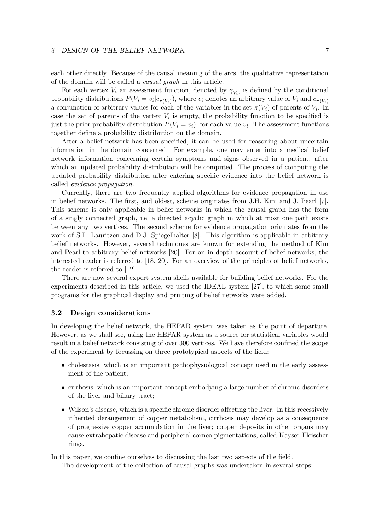each other directly. Because of the causal meaning of the arcs, the qualitative representation of the domain will be called a causal graph in this article.

For each vertex  $V_i$  an assessment function, denoted by  $\gamma_{V_i}$ , is defined by the conditional probability distributions  $P(V_i = v_i | c_{\pi(V_i)})$ , where  $v_i$  denotes an arbitrary value of  $V_i$  and  $c_{\pi(V_i)}$ a conjunction of arbitrary values for each of the variables in the set  $\pi(V_i)$  of parents of  $V_i$ . In case the set of parents of the vertex  $V_i$  is empty, the probability function to be specified is just the prior probability distribution  $P(V_i = v_i)$ , for each value  $v_i$ . The assessment functions together define a probability distribution on the domain.

After a belief network has been specified, it can be used for reasoning about uncertain information in the domain concerned. For example, one may enter into a medical belief network information concerning certain symptoms and signs observed in a patient, after which an updated probability distribution will be computed. The process of computing the updated probability distribution after entering specific evidence into the belief network is called evidence propagation.

Currently, there are two frequently applied algorithms for evidence propagation in use in belief networks. The first, and oldest, scheme originates from J.H. Kim and J. Pearl [7]. This scheme is only applicable in belief networks in which the causal graph has the form of a singly connected graph, i.e. a directed acyclic graph in which at most one path exists between any two vertices. The second scheme for evidence propagation originates from the work of S.L. Lauritzen and D.J. Spiegelhalter [8]. This algorithm is applicable in arbitrary belief networks. However, several techniques are known for extending the method of Kim and Pearl to arbitrary belief networks [20]. For an in-depth account of belief networks, the interested reader is referred to [18, 20]. For an overview of the principles of belief networks, the reader is referred to [12].

There are now several expert system shells available for building belief networks. For the experiments described in this article, we used the IDEAL system [27], to which some small programs for the graphical display and printing of belief networks were added.

### 3.2 Design considerations

In developing the belief network, the HEPAR system was taken as the point of departure. However, as we shall see, using the HEPAR system as a source for statistical variables would result in a belief network consisting of over 300 vertices. We have therefore confined the scope of the experiment by focussing on three prototypical aspects of the field:

- cholestasis, which is an important pathophysiological concept used in the early assessment of the patient;
- cirrhosis, which is an important concept embodying a large number of chronic disorders of the liver and biliary tract;
- Wilson's disease, which is a specific chronic disorder affecting the liver. In this recessively inherited derangement of copper metabolism, cirrhosis may develop as a consequence of progressive copper accumulation in the liver; copper deposits in other organs may cause extrahepatic disease and peripheral cornea pigmentations, called Kayser-Fleischer rings.

In this paper, we confine ourselves to discussing the last two aspects of the field.

The development of the collection of causal graphs was undertaken in several steps: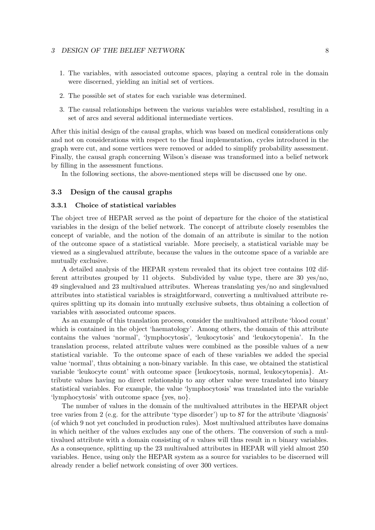- 1. The variables, with associated outcome spaces, playing a central role in the domain were discerned, yielding an initial set of vertices.
- 2. The possible set of states for each variable was determined.
- 3. The causal relationships between the various variables were established, resulting in a set of arcs and several additional intermediate vertices.

After this initial design of the causal graphs, which was based on medical considerations only and not on considerations with respect to the final implementation, cycles introduced in the graph were cut, and some vertices were removed or added to simplify probability assessment. Finally, the causal graph concerning Wilson's disease was transformed into a belief network by filling in the assessment functions.

In the following sections, the above-mentioned steps will be discussed one by one.

# 3.3 Design of the causal graphs

# 3.3.1 Choice of statistical variables

The object tree of HEPAR served as the point of departure for the choice of the statistical variables in the design of the belief network. The concept of attribute closely resembles the concept of variable, and the notion of the domain of an attribute is similar to the notion of the outcome space of a statistical variable. More precisely, a statistical variable may be viewed as a singlevalued attribute, because the values in the outcome space of a variable are mutually exclusive.

A detailed analysis of the HEPAR system revealed that its object tree contains 102 different attributes grouped by 11 objects. Subdivided by value type, there are 30 yes/no, 49 singlevalued and 23 multivalued attributes. Whereas translating yes/no and singlevalued attributes into statistical variables is straightforward, converting a multivalued attribute requires splitting up its domain into mutually exclusive subsets, thus obtaining a collection of variables with associated outcome spaces.

As an example of this translation process, consider the multivalued attribute 'blood count' which is contained in the object 'haematology'. Among others, the domain of this attribute contains the values 'normal', 'lymphocytosis', 'leukocytosis' and 'leukocytopenia'. In the translation process, related attribute values were combined as the possible values of a new statistical variable. To the outcome space of each of these variables we added the special value 'normal', thus obtaining a non-binary variable. In this case, we obtained the statistical variable 'leukocyte count' with outcome space {leukocytosis, normal, leukocytopenia}. Attribute values having no direct relationship to any other value were translated into binary statistical variables. For example, the value 'lymphocytosis' was translated into the variable 'lymphocytosis' with outcome space {yes, no}.

The number of values in the domain of the multivalued attributes in the HEPAR object tree varies from 2 (e.g. for the attribute 'type disorder') up to 87 for the attribute 'diagnosis' (of which 9 not yet concluded in production rules). Most multivalued attributes have domains in which neither of the values excludes any one of the others. The conversion of such a multivalued attribute with a domain consisting of  $n$  values will thus result in  $n$  binary variables. As a consequence, splitting up the 23 multivalued attributes in HEPAR will yield almost 250 variables. Hence, using only the HEPAR system as a source for variables to be discerned will already render a belief network consisting of over 300 vertices.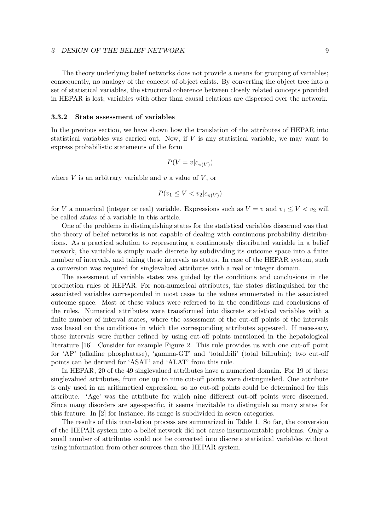The theory underlying belief networks does not provide a means for grouping of variables; consequently, no analogy of the concept of object exists. By converting the object tree into a set of statistical variables, the structural coherence between closely related concepts provided in HEPAR is lost; variables with other than causal relations are dispersed over the network.

### 3.3.2 State assessment of variables

In the previous section, we have shown how the translation of the attributes of HEPAR into statistical variables was carried out. Now, if  $V$  is any statistical variable, we may want to express probabilistic statements of the form

$$
P(V = v|c_{\pi(V)})
$$

where  $V$  is an arbitrary variable and  $v$  a value of  $V$ , or

$$
P(v_1 \le V < v_2 | c_{\pi(V)})
$$

for V a numerical (integer or real) variable. Expressions such as  $V = v$  and  $v_1 \le V < v_2$  will be called states of a variable in this article.

One of the problems in distinguishing states for the statistical variables discerned was that the theory of belief networks is not capable of dealing with continuous probability distributions. As a practical solution to representing a continuously distributed variable in a belief network, the variable is simply made discrete by subdividing its outcome space into a finite number of intervals, and taking these intervals as states. In case of the HEPAR system, such a conversion was required for singlevalued attributes with a real or integer domain.

The assessment of variable states was guided by the conditions and conclusions in the production rules of HEPAR. For non-numerical attributes, the states distinguished for the associated variables corresponded in most cases to the values enumerated in the associated outcome space. Most of these values were referred to in the conditions and conclusions of the rules. Numerical attributes were transformed into discrete statistical variables with a finite number of interval states, where the assessment of the cut-off points of the intervals was based on the conditions in which the corresponding attributes appeared. If necessary, these intervals were further refined by using cut-off points mentioned in the hepatological literature [16]. Consider for example Figure 2. This rule provides us with one cut-off point for 'AP' (alkaline phosphatase), 'gamma-GT' and 'total bili' (total bilirubin); two cut-off points can be derived for 'ASAT' and 'ALAT' from this rule.

In HEPAR, 20 of the 49 singlevalued attributes have a numerical domain. For 19 of these singlevalued attributes, from one up to nine cut-off points were distinguished. One attribute is only used in an arithmetical expression, so no cut-off points could be determined for this attribute. 'Age' was the attribute for which nine different cut-off points were discerned. Since many disorders are age-specific, it seems inevitable to distinguish so many states for this feature. In [2] for instance, its range is subdivided in seven categories.

The results of this translation process are summarized in Table 1. So far, the conversion of the HEPAR system into a belief network did not cause insurmountable problems. Only a small number of attributes could not be converted into discrete statistical variables without using information from other sources than the HEPAR system.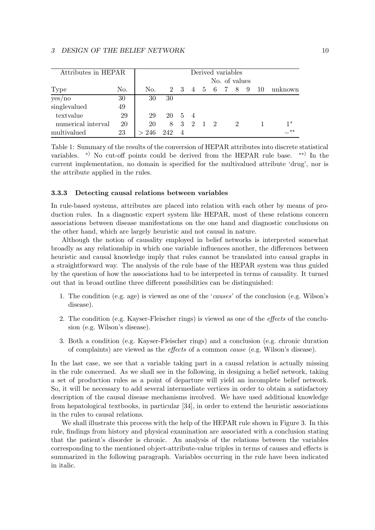| Attributes in HEPAR |     | Derived variables |        |           |  |  |               |  |               |   |    |         |
|---------------------|-----|-------------------|--------|-----------|--|--|---------------|--|---------------|---|----|---------|
|                     |     |                   |        |           |  |  |               |  | No. of values |   |    |         |
| Type                | No. | No.               |        |           |  |  | 2 3 4 5 6 7 8 |  |               | 9 | 10 | unknown |
| yes/no              | 30  | 30                | 30     |           |  |  |               |  |               |   |    |         |
| singlevalued        | 49  |                   |        |           |  |  |               |  |               |   |    |         |
| textvalue           | 29  | 29                | 20 5 4 |           |  |  |               |  |               |   |    |         |
| numerical interval  | 20  | 20                |        | 8 3 2 1 2 |  |  |               |  | 2             |   |    | $1*$    |
| multivalued         | 23  | > 246             | 242    |           |  |  |               |  |               |   |    | $**$    |

Table 1: Summary of the results of the conversion of HEPAR attributes into discrete statistical variables. <sup>\*)</sup> No cut-off points could be derived from the HEPAR rule base. <sup>\*\*)</sup> In the current implementation, no domain is specified for the multivalued attribute 'drug', nor is the attribute applied in the rules.

#### 3.3.3 Detecting causal relations between variables

In rule-based systems, attributes are placed into relation with each other by means of production rules. In a diagnostic expert system like HEPAR, most of these relations concern associations between disease manifestations on the one hand and diagnostic conclusions on the other hand, which are largely heuristic and not causal in nature.

Although the notion of causality employed in belief networks is interpreted somewhat broadly as any relationship in which one variable influences another, the differences between heuristic and causal knowledge imply that rules cannot be translated into causal graphs in a straightforward way. The analysis of the rule base of the HEPAR system was thus guided by the question of how the associations had to be interpreted in terms of causality. It turned out that in broad outline three different possibilities can be distinguished:

- 1. The condition (e.g. age) is viewed as one of the 'causes' of the conclusion (e.g. Wilson's disease).
- 2. The condition (e.g. Kayser-Fleischer rings) is viewed as one of the effects of the conclusion (e.g. Wilson's disease).
- 3. Both a condition (e.g. Kayser-Fleischer rings) and a conclusion (e.g. chronic duration of complaints) are viewed as the effects of a common cause (e.g. Wilson's disease).

In the last case, we see that a variable taking part in a causal relation is actually missing in the rule concerned. As we shall see in the following, in designing a belief network, taking a set of production rules as a point of departure will yield an incomplete belief network. So, it will be necessary to add several intermediate vertices in order to obtain a satisfactory description of the causal disease mechanisms involved. We have used additional knowledge from hepatological textbooks, in particular [34], in order to extend the heuristic associations in the rules to causal relations.

We shall illustrate this process with the help of the HEPAR rule shown in Figure 3. In this rule, findings from history and physical examination are associated with a conclusion stating that the patient's disorder is chronic. An analysis of the relations between the variables corresponding to the mentioned object-attribute-value triples in terms of causes and effects is summarized in the following paragraph. Variables occurring in the rule have been indicated in italic.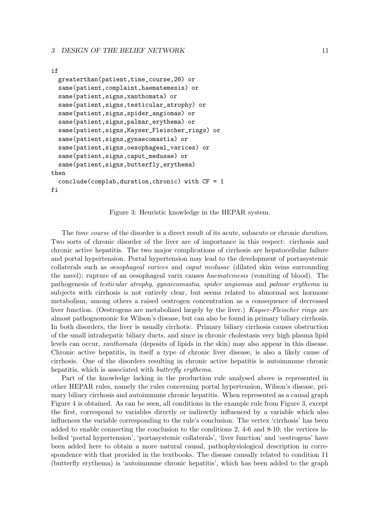#### if

```
greaterthan(patient,time_course,26) or
 same(patient,complaint,haematemesis) or
  same(patient,signs,xanthomata) or
 same(patient,signs,testicular_atrophy) or
 same(patient,signs,spider_angiomas) or
 same(patient,signs,palmar_erythema) or
  same(patient,signs,Kayser_Fleischer_rings) or
  same(patient,signs,gynaecomastia) or
  same(patient,signs,oesophageal_varices) or
 same(patient,signs,caput_medusae) or
 same(patient,signs,butterfly_erythema)
then
  conclude(complab,duration,chronic) with CF = 1
fi
```
Figure 3: Heuristic knowledge in the HEPAR system.

The *time course* of the disorder is a direct result of its acute, subacute or chronic *duration*. Two sorts of chronic disorder of the liver are of importance in this respect: cirrhosis and chronic active hepatitis. The two major complications of cirrhosis are hepatocellular failure and portal hypertension. Portal hypertension may lead to the development of portasystemic collaterals such as oesophageal varices and caput medusae (dilated skin veins surrounding the navel); rupture of an oesophageal varix causes haematemesis (vomiting of blood). The pathogenesis of testicular atrophy, gynaecomastia, spider angiomas and palmar erythema in subjects with cirrhosis is not entirely clear, but seems related to abnormal sex hormone metabolism, among others a raised oestrogen concentration as a consequence of decreased liver function. (Oestrogens are metabolized largely by the liver.) Kayser-Fleischer rings are almost pathognomonic for Wilson's disease, but can also be found in primary biliary cirrhosis. In both disorders, the liver is usually cirrhotic. Primary biliary cirrhosis causes obstruction of the small intrahepatic biliary ducts, and since in chronic cholestasis very high plasma lipid levels can occur, xanthomata (deposits of lipids in the skin) may also appear in this disease. Chronic active hepatitis, in itself a type of chronic liver disease, is also a likely cause of cirrhosis. One of the disorders resulting in chronic active hepatitis is autoimmune chronic hepatitis, which is associated with *butterfly erythema*.

Part of the knowledge lacking in the production rule analysed above is represented in other HEPAR rules, namely the rules concerning portal hypertension, Wilson's disease, primary biliary cirrhosis and autoimmune chronic hepatitis. When represented as a causal graph Figure 4 is obtained. As can be seen, all conditions in the example rule from Figure 3, except the first, correspond to variables directly or indirectly influenced by a variable which also influences the variable corresponding to the rule's conclusion. The vertex 'cirrhosis' has been added to enable connecting the conclusion to the conditions 2, 4-6 and 8-10; the vertices labelled 'portal hypertension', 'portasystemic collaterals', 'liver function' and 'oestrogens' have been added here to obtain a more natural causal, pathophysiological description in correspondence with that provided in the textbooks. The disease causally related to condition 11 (butterfly erythema) is 'autoimmune chronic hepatitis', which has been added to the graph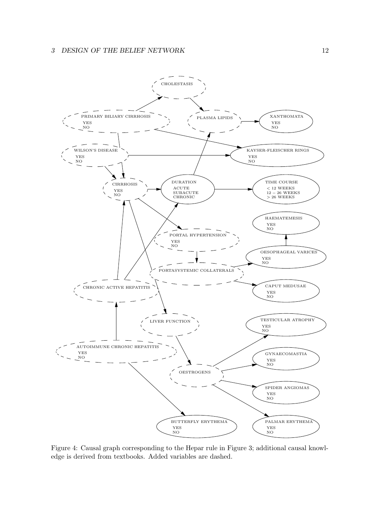

Figure 4: Causal graph corresponding to the Hepar rule in Figure 3; additional causal knowledge is derived from textbooks. Added variables are dashed.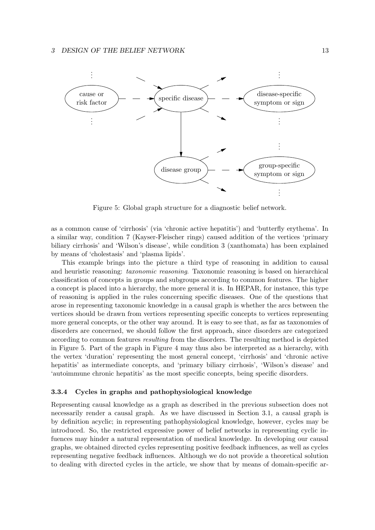

Figure 5: Global graph structure for a diagnostic belief network.

as a common cause of 'cirrhosis' (via 'chronic active hepatitis') and 'butterfly erythema'. In a similar way, condition 7 (Kayser-Fleischer rings) caused addition of the vertices 'primary biliary cirrhosis' and 'Wilson's disease', while condition 3 (xanthomata) has been explained by means of 'cholestasis' and 'plasma lipids'.

This example brings into the picture a third type of reasoning in addition to causal and heuristic reasoning: taxonomic reasoning. Taxonomic reasoning is based on hierarchical classification of concepts in groups and subgroups according to common features. The higher a concept is placed into a hierarchy, the more general it is. In HEPAR, for instance, this type of reasoning is applied in the rules concerning specific diseases. One of the questions that arose in representing taxonomic knowledge in a causal graph is whether the arcs between the vertices should be drawn from vertices representing specific concepts to vertices representing more general concepts, or the other way around. It is easy to see that, as far as taxonomies of disorders are concerned, we should follow the first approach, since disorders are categorized according to common features resulting from the disorders. The resulting method is depicted in Figure 5. Part of the graph in Figure 4 may thus also be interpreted as a hierarchy, with the vertex 'duration' representing the most general concept, 'cirrhosis' and 'chronic active hepatitis' as intermediate concepts, and 'primary biliary cirrhosis', 'Wilson's disease' and 'autoimmune chronic hepatitis' as the most specific concepts, being specific disorders.

#### 3.3.4 Cycles in graphs and pathophysiological knowledge

Representing causal knowledge as a graph as described in the previous subsection does not necessarily render a causal graph. As we have discussed in Section 3.1, a causal graph is by definition acyclic; in representing pathophysiological knowledge, however, cycles may be introduced. So, the restricted expressive power of belief networks in representing cyclic infuences may hinder a natural representation of medical knowledge. In developing our causal graphs, we obtained directed cycles representing positive feedback influences, as well as cycles representing negative feedback influences. Although we do not provide a theoretical solution to dealing with directed cycles in the article, we show that by means of domain-specific ar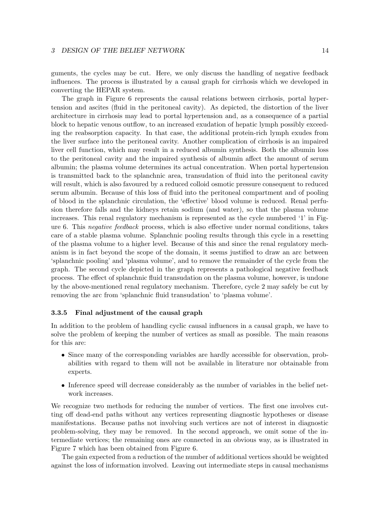guments, the cycles may be cut. Here, we only discuss the handling of negative feedback influences. The process is illustrated by a causal graph for cirrhosis which we developed in converting the HEPAR system.

The graph in Figure 6 represents the causal relations between cirrhosis, portal hypertension and ascites (fluid in the peritoneal cavity). As depicted, the distortion of the liver architecture in cirrhosis may lead to portal hypertension and, as a consequence of a partial block to hepatic venous outflow, to an increased exudation of hepatic lymph possibly exceeding the reabsorption capacity. In that case, the additional protein-rich lymph exudes from the liver surface into the peritoneal cavity. Another complication of cirrhosis is an impaired liver cell function, which may result in a reduced albumin synthesis. Both the albumin loss to the peritoneal cavity and the impaired synthesis of albumin affect the amount of serum albumin; the plasma volume determines its actual concentration. When portal hypertension is transmitted back to the splanchnic area, transudation of fluid into the peritoneal cavity will result, which is also favoured by a reduced colloid osmotic pressure consequent to reduced serum albumin. Because of this loss of fluid into the peritoneal compartment and of pooling of blood in the splanchnic circulation, the 'effective' blood volume is reduced. Renal perfusion therefore falls and the kidneys retain sodium (and water), so that the plasma volume increases. This renal regulatory mechanism is represented as the cycle numbered '1' in Figure 6. This negative feedback process, which is also effective under normal conditions, takes care of a stable plasma volume. Splanchnic pooling results through this cycle in a resetting of the plasma volume to a higher level. Because of this and since the renal regulatory mechanism is in fact beyond the scope of the domain, it seems justified to draw an arc between 'splanchnic pooling' and 'plasma volume', and to remove the remainder of the cycle from the graph. The second cycle depicted in the graph represents a pathological negative feedback process. The effect of splanchnic fluid transudation on the plasma volume, however, is undone by the above-mentioned renal regulatory mechanism. Therefore, cycle 2 may safely be cut by removing the arc from 'splanchnic fluid transudation' to 'plasma volume'.

# 3.3.5 Final adjustment of the causal graph

In addition to the problem of handling cyclic causal influences in a causal graph, we have to solve the problem of keeping the number of vertices as small as possible. The main reasons for this are:

- Since many of the corresponding variables are hardly accessible for observation, probabilities with regard to them will not be available in literature nor obtainable from experts.
- Inference speed will decrease considerably as the number of variables in the belief network increases.

We recognize two methods for reducing the number of vertices. The first one involves cutting off dead-end paths without any vertices representing diagnostic hypotheses or disease manifestations. Because paths not involving such vertices are not of interest in diagnostic problem-solving, they may be removed. In the second approach, we omit some of the intermediate vertices; the remaining ones are connected in an obvious way, as is illustrated in Figure 7 which has been obtained from Figure 6.

The gain expected from a reduction of the number of additional vertices should be weighted against the loss of information involved. Leaving out intermediate steps in causal mechanisms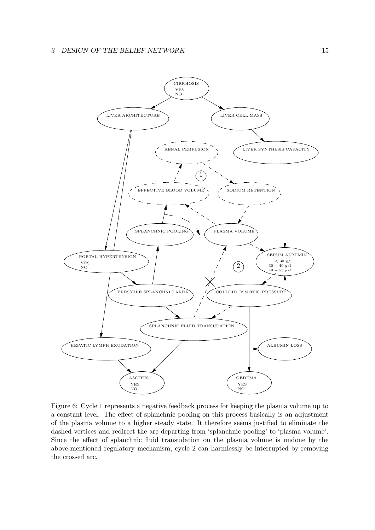

Figure 6: Cycle 1 represents a negative feedback process for keeping the plasma volume up to a constant level. The effect of splanchnic pooling on this process basically is an adjustment of the plasma volume to a higher steady state. It therefore seems justified to eliminate the dashed vertices and redirect the arc departing from 'splanchnic pooling' to 'plasma volume'. Since the effect of splanchnic fluid transudation on the plasma volume is undone by the above-mentioned regulatory mechanism, cycle 2 can harmlessly be interrupted by removing the crossed arc.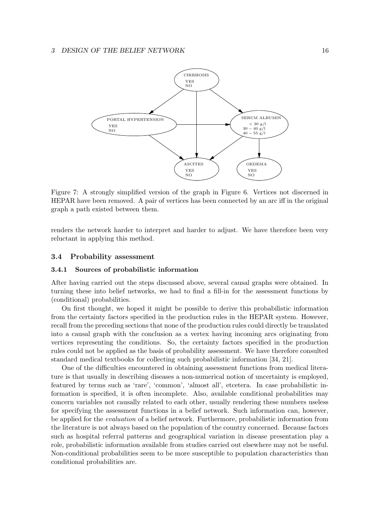

Figure 7: A strongly simplified version of the graph in Figure 6. Vertices not discerned in HEPAR have been removed. A pair of vertices has been connected by an arc iff in the original graph a path existed between them.

renders the network harder to interpret and harder to adjust. We have therefore been very reluctant in applying this method.

## 3.4 Probability assessment

### 3.4.1 Sources of probabilistic information

After having carried out the steps discussed above, several causal graphs were obtained. In turning these into belief networks, we had to find a fill-in for the assessment functions by (conditional) probabilities.

On first thought, we hoped it might be possible to derive this probabilistic information from the certainty factors specified in the production rules in the HEPAR system. However, recall from the preceding sections that none of the production rules could directly be translated into a causal graph with the conclusion as a vertex having incoming arcs originating from vertices representing the conditions. So, the certainty factors specified in the production rules could not be applied as the basis of probability assessment. We have therefore consulted standard medical textbooks for collecting such probabilistic information [34, 21].

One of the difficulties encountered in obtaining assessment functions from medical literature is that usually in describing diseases a non-numerical notion of uncertainty is employed, featured by terms such as 'rare', 'common', 'almost all', etcetera. In case probabilistic information is specified, it is often incomplete. Also, available conditional probabilities may concern variables not causally related to each other, usually rendering these numbers useless for specifying the assessment functions in a belief network. Such information can, however, be applied for the evaluation of a belief network. Furthermore, probabilistic information from the literature is not always based on the population of the country concerned. Because factors such as hospital referral patterns and geographical variation in disease presentation play a role, probabilistic information available from studies carried out elsewhere may not be useful. Non-conditional probabilities seem to be more susceptible to population characteristics than conditional probabilities are.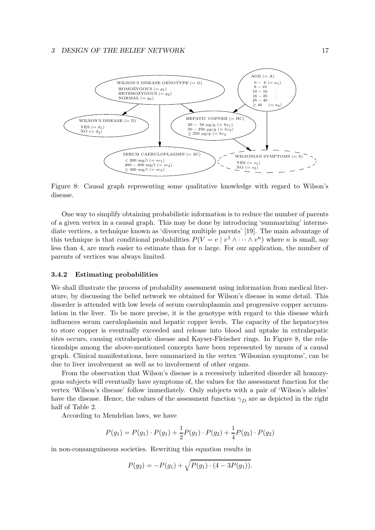

Figure 8: Causal graph representing some qualitative knowledge with regard to Wilson's disease.

One way to simplify obtaining probabilistic information is to reduce the number of parents of a given vertex in a causal graph. This may be done by introducing 'summarizing' intermediate vertices, a technique known as 'divorcing multiple parents' [19]. The main advantage of this technique is that conditional probabilities  $P(V = v \mid v^1 \wedge \cdots \wedge v^n)$  where *n* is small, say less than 4, are much easier to estimate than for  $n$  large. For our application, the number of parents of vertices was always limited.

# 3.4.2 Estimating probabilities

We shall illustrate the process of probability assessment using information from medical literature, by discussing the belief network we obtained for Wilson's disease in some detail. This disorder is attended with low levels of serum caeruloplasmin and progressive copper accumulation in the liver. To be more precise, it is the genotype with regard to this disease which influences serum caeruloplasmin and hepatic copper levels. The capacity of the hepatocytes to store copper is eventually exceeded and release into blood and uptake in extrahepatic sites occurs, causing extrahepatic disease and Kayser-Fleischer rings. In Figure 8, the relationships among the above-mentioned concepts have been represented by means of a causal graph. Clinical manifestations, here summarized in the vertex 'Wilsonian symptoms', can be due to liver involvement as well as to involvement of other organs.

From the observation that Wilson's disease is a recessively inherited disorder all homozygous subjects will eventually have symptoms of, the values for the assessment function for the vertex 'Wilson's disease' follow immediately. Only subjects with a pair of 'Wilson's alleles' have the disease. Hence, the values of the assessment function  $\gamma_D$  are as depicted in the right half of Table 2.

According to Mendelian laws, we have

$$
P(g_1) = P(g_1) \cdot P(g_1) + \frac{1}{2}P(g_1) \cdot P(g_2) + \frac{1}{4}P(g_2) \cdot P(g_2)
$$

in non-consanguineous societies. Rewriting this equation results in

$$
P(g_2) = -P(g_1) + \sqrt{P(g_1) \cdot (4 - 3P(g_1))}.
$$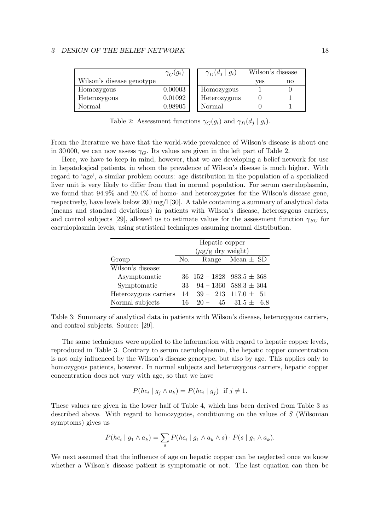|                           | $\gamma_G(g_i)$ | $\gamma_D(d_j \mid g_i)$ | Wilson's disease |    |
|---------------------------|-----------------|--------------------------|------------------|----|
| Wilson's disease genotype |                 |                          | ves              | no |
| Homozygous                | 0.00003         | Homozygous               |                  |    |
| Heterozygous              | 0.01092         | Heterozygous             |                  |    |
| Normal                    | 0.98905         | Normal                   |                  |    |

Table 2: Assessment functions  $\gamma_G(g_i)$  and  $\gamma_D(d_j | g_i)$ .

From the literature we have that the world-wide prevalence of Wilson's disease is about one in 30000, we can now assess  $\gamma_{\rm C}$ . Its values are given in the left part of Table 2.

Here, we have to keep in mind, however, that we are developing a belief network for use in hepatological patients, in whom the prevalence of Wilson's disease is much higher. With regard to 'age', a similar problem occurs: age distribution in the population of a specialized liver unit is very likely to differ from that in normal population. For serum caeruloplasmin, we found that 94.9% and 20.4% of homo- and heterozygotes for the Wilson's disease gene, respectively, have levels below 200 mg/l [30]. A table containing a summary of analytical data (means and standard deviations) in patients with Wilson's disease, heterozygous carriers, and control subjects [29], allowed us to estimate values for the assessment function  $\gamma_{SC}$  for caeruloplasmin levels, using statistical techniques assuming normal distribution.

|                       | Hepatic copper                   |  |                                 |  |  |  |
|-----------------------|----------------------------------|--|---------------------------------|--|--|--|
|                       | $(\mu g/g \, dy \text{ weight})$ |  |                                 |  |  |  |
| Group                 | No.                              |  | Range Mean $\pm$ SD             |  |  |  |
| Wilson's disease:     |                                  |  |                                 |  |  |  |
| Asymptomatic          |                                  |  | 36 $152 - 1828$ 983.5 $\pm$ 368 |  |  |  |
| Symptomatic           | 33                               |  | $94 - 1360$ $588.3 \pm 304$     |  |  |  |
| Heterozygous carriers | 14                               |  | $39 - 213$ $117.0 \pm 51$       |  |  |  |
| Normal subjects       | 16                               |  | $20 - 45$ $31.5 \pm 6.8$        |  |  |  |

Table 3: Summary of analytical data in patients with Wilson's disease, heterozygous carriers, and control subjects. Source: [29].

The same techniques were applied to the information with regard to hepatic copper levels, reproduced in Table 3. Contrary to serum caeruloplasmin, the hepatic copper concentration is not only influenced by the Wilson's disease genotype, but also by age. This applies only to homozygous patients, however. In normal subjects and heterozygous carriers, hepatic copper concentration does not vary with age, so that we have

$$
P(hc_i \mid g_j \land a_k) = P(hc_i \mid g_j) \text{ if } j \neq 1.
$$

These values are given in the lower half of Table 4, which has been derived from Table 3 as described above. With regard to homozygotes, conditioning on the values of S (Wilsonian symptoms) gives us

$$
P(hc_i \mid g_1 \wedge a_k) = \sum_s P(hc_i \mid g_1 \wedge a_k \wedge s) \cdot P(s \mid g_1 \wedge a_k).
$$

We next assumed that the influence of age on hepatic copper can be neglected once we know whether a Wilson's disease patient is symptomatic or not. The last equation can then be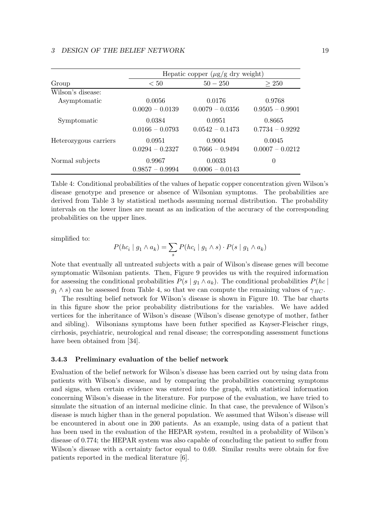|                       | Hepatic copper $(\mu g/g \, dry \, weight)$ |                             |                             |  |  |  |  |  |
|-----------------------|---------------------------------------------|-----------------------------|-----------------------------|--|--|--|--|--|
| Group                 | < 50                                        | $50 - 250$                  | > 250                       |  |  |  |  |  |
| Wilson's disease:     |                                             |                             |                             |  |  |  |  |  |
| Asymptomatic          | 0.0056<br>$0.0020 - 0.0139$                 | 0.0176<br>$0.0079 - 0.0356$ | 0.9768<br>$0.9505 - 0.9901$ |  |  |  |  |  |
| Symptomatic           | 0.0384<br>$0.0166 - 0.0793$                 | 0.0951<br>$0.0542 - 0.1473$ | 0.8665<br>$0.7734 - 0.9292$ |  |  |  |  |  |
| Heterozygous carriers | 0.0951<br>$0.0294 - 0.2327$                 | 0.9004<br>$0.7666 - 0.9494$ | 0.0045<br>$0.0007 - 0.0212$ |  |  |  |  |  |
| Normal subjects       | 0.9967<br>$0.9857 - 0.9994$                 | 0.0033<br>$0.0006 - 0.0143$ | $\theta$                    |  |  |  |  |  |

Table 4: Conditional probabilities of the values of hepatic copper concentration given Wilson's disease genotype and presence or absence of Wilsonian symptoms. The probabilities are derived from Table 3 by statistical methods assuming normal distribution. The probability intervals on the lower lines are meant as an indication of the accuracy of the corresponding probabilities on the upper lines.

simplified to:

$$
P(hc_i \mid g_1 \wedge a_k) = \sum_s P(hc_i \mid g_1 \wedge s) \cdot P(s \mid g_1 \wedge a_k)
$$

Note that eventually all untreated subjects with a pair of Wilson's disease genes will become symptomatic Wilsonian patients. Then, Figure 9 provides us with the required information for assessing the conditional probabilities  $P(s | g_1 \wedge a_k)$ . The conditional probabilities  $P(hc | s_1)$  $g_1 \wedge s$  can be assessed from Table 4, so that we can compute the remaining values of  $\gamma_{HC}$ .

The resulting belief network for Wilson's disease is shown in Figure 10. The bar charts in this figure show the prior probability distributions for the variables. We have added vertices for the inheritance of Wilson's disease (Wilson's disease genotype of mother, father and sibling). Wilsonians symptoms have been futher specified as Kayser-Fleischer rings, cirrhosis, psychiatric, neurological and renal disease; the corresponding assessment functions have been obtained from [34].

#### 3.4.3 Preliminary evaluation of the belief network

Evaluation of the belief network for Wilson's disease has been carried out by using data from patients with Wilson's disease, and by comparing the probabilities concerning symptoms and signs, when certain evidence was entered into the graph, with statistical information concerning Wilson's disease in the literature. For purpose of the evaluation, we have tried to simulate the situation of an internal medicine clinic. In that case, the prevalence of Wilson's disease is much higher than in the general population. We assumed that Wilson's disease will be encountered in about one in 200 patients. As an example, using data of a patient that has been used in the evaluation of the HEPAR system, resulted in a probability of Wilson's disease of 0.774; the HEPAR system was also capable of concluding the patient to suffer from Wilson's disease with a certainty factor equal to 0.69. Similar results were obtain for five patients reported in the medical literature [6].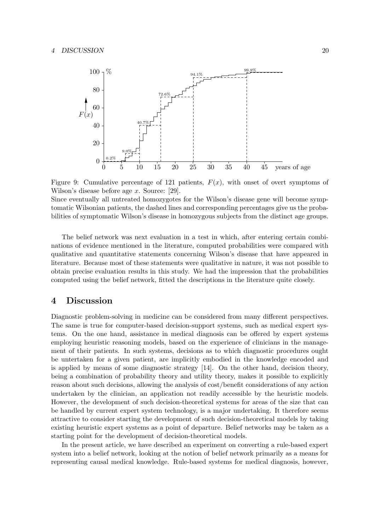

Figure 9: Cumulative percentage of 121 patients,  $F(x)$ , with onset of overt symptoms of Wilson's disease before age x. Source: [29].

Since eventually all untreated homozygotes for the Wilson's disease gene will become symptomatic Wilsonian patients, the dashed lines and corresponding percentages give us the probabilities of symptomatic Wilson's disease in homozygous subjects from the distinct age groups.

The belief network was next evaluation in a test in which, after entering certain combinations of evidence mentioned in the literature, computed probabilities were compared with qualitative and quantitative statements concerning Wilson's disease that have appeared in literature. Because most of these statements were qualitative in nature, it was not possible to obtain precise evaluation results in this study. We had the impression that the probabilities computed using the belief network, fitted the descriptions in the literature quite closely.

# 4 Discussion

Diagnostic problem-solving in medicine can be considered from many different perspectives. The same is true for computer-based decision-support systems, such as medical expert systems. On the one hand, assistance in medical diagnosis can be offered by expert systems employing heuristic reasoning models, based on the experience of clinicians in the management of their patients. In such systems, decisions as to which diagnostic procedures ought be untertaken for a given patient, are implicitly embodied in the knowledge encoded and is applied by means of some diagnostic strategy [14]. On the other hand, decision theory, being a combination of probability theory and utility theory, makes it possible to explicitly reason about such decisions, allowing the analysis of cost/benefit considerations of any action undertaken by the clinician, an application not readily accessible by the heuristic models. However, the development of such decision-theoretical systems for areas of the size that can be handled by current expert system technology, is a major undertaking. It therefore seems attractive to consider starting the development of such decision-theoretical models by taking existing heuristic expert systems as a point of departure. Belief networks may be taken as a starting point for the development of decision-theoretical models.

In the present article, we have described an experiment on converting a rule-based expert system into a belief network, looking at the notion of belief network primarily as a means for representing causal medical knowledge. Rule-based systems for medical diagnosis, however,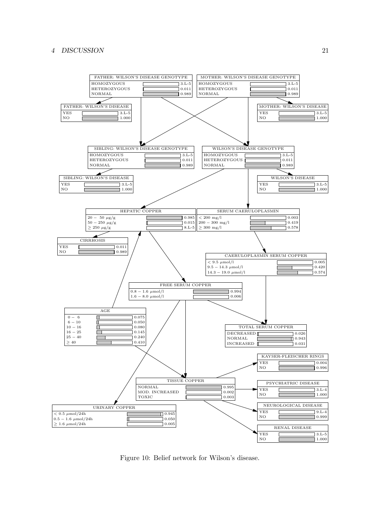## 4 DISCUSSION 21



Figure 10: Belief network for Wilson's disease.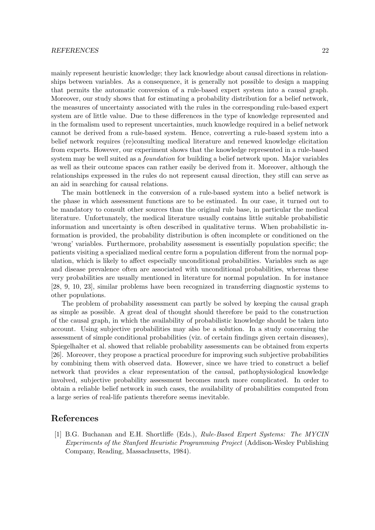#### REFERENCES 22

mainly represent heuristic knowledge; they lack knowledge about causal directions in relationships between variables. As a consequence, it is generally not possible to design a mapping that permits the automatic conversion of a rule-based expert system into a causal graph. Moreover, our study shows that for estimating a probability distribution for a belief network, the measures of uncertainty associated with the rules in the corresponding rule-based expert system are of little value. Due to these differences in the type of knowledge represented and in the formalism used to represent uncertainties, much knowledge required in a belief network cannot be derived from a rule-based system. Hence, converting a rule-based system into a belief network requires (re)consulting medical literature and renewed knowledge elicitation from experts. However, our experiment shows that the knowledge represented in a rule-based system may be well suited as a *foundation* for building a belief network upon. Major variables as well as their outcome spaces can rather easily be derived from it. Moreover, although the relationships expressed in the rules do not represent causal direction, they still can serve as an aid in searching for causal relations.

The main bottleneck in the conversion of a rule-based system into a belief network is the phase in which assessment functions are to be estimated. In our case, it turned out to be mandatory to consult other sources than the original rule base, in particular the medical literature. Unfortunately, the medical literature usually contains little suitable probabilistic information and uncertainty is often described in qualitative terms. When probabilistic information is provided, the probability distribution is often incomplete or conditioned on the 'wrong' variables. Furthermore, probability assessment is essentially population specific; the patients visiting a specialized medical centre form a population different from the normal population, which is likely to affect especially unconditional probabilities. Variables such as age and disease prevalence often are associated with unconditional probabilities, whereas these very probabilities are usually mentioned in literature for normal population. In for instance [28, 9, 10, 23], similar problems have been recognized in transferring diagnostic systems to other populations.

The problem of probability assessment can partly be solved by keeping the causal graph as simple as possible. A great deal of thought should therefore be paid to the construction of the causal graph, in which the availability of probabilistic knowledge should be taken into account. Using subjective probabilities may also be a solution. In a study concerning the assessment of simple conditional probabilities (viz. of certain findings given certain diseases), Spiegelhalter et al. showed that reliable probability assessments can be obtained from experts [26]. Moreover, they propose a practical procedure for improving such subjective probabilities by combining them with observed data. However, since we have tried to construct a belief network that provides a clear representation of the causal, pathophysiological knowledge involved, subjective probability assessment becomes much more complicated. In order to obtain a reliable belief network in such cases, the availability of probabilities computed from a large series of real-life patients therefore seems inevitable.

# References

[1] B.G. Buchanan and E.H. Shortliffe (Eds.), Rule-Based Expert Systems: The MYCIN Experiments of the Stanford Heuristic Programming Project (Addison-Wesley Publishing Company, Reading, Massachusetts, 1984).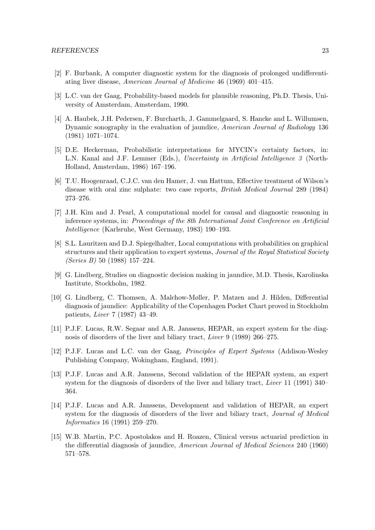- [2] F. Burbank, A computer diagnostic system for the diagnosis of prolonged undifferentiating liver disease, American Journal of Medicine 46 (1969) 401–415.
- [3] L.C. van der Gaag, Probability-based models for plausible reasoning, Ph.D. Thesis, University of Amsterdam, Amsterdam, 1990.
- [4] A. Haubek, J.H. Pedersen, F. Burcharth, J. Gammelgaard, S. Hancke and L. Willumsen, Dynamic sonography in the evaluation of jaundice, American Journal of Radiology 136 (1981) 1071–1074.
- [5] D.E. Heckerman, Probabilistic interpretations for MYCIN's certainty factors, in: L.N. Kanal and J.F. Lemmer (Eds.), Uncertainty in Artificial Intelligence 3 (North-Holland, Amsterdam, 1986) 167–196.
- [6] T.U. Hoogenraad, C.J.C. van den Hamer, J. van Hattum, Effective treatment of Wilson's disease with oral zinc sulphate: two case reports, British Medical Journal 289 (1984) 273–276.
- [7] J.H. Kim and J. Pearl, A computational model for causal and diagnostic reasoning in inference systems, in: Proceedings of the 8th International Joint Conference on Artificial Intelligence (Karlsruhe, West Germany, 1983) 190–193.
- [8] S.L. Lauritzen and D.J. Spiegelhalter, Local computations with probabilities on graphical structures and their application to expert systems, *Journal of the Royal Statistical Society* (Series B) 50 (1988) 157–224.
- [9] G. Lindberg, Studies on diagnostic decision making in jaundice, M.D. Thesis, Karolinska Institute, Stockholm, 1982.
- [10] G. Lindberg, C. Thomsen, A. Malchow-Møller, P. Matzen and J. Hilden, Differential diagnosis of jaundice: Applicability of the Copenhagen Pocket Chart proved in Stockholm patients, Liver 7 (1987) 43–49.
- [11] P.J.F. Lucas, R.W. Segaar and A.R. Janssens, HEPAR, an expert system for the diagnosis of disorders of the liver and biliary tract, Liver 9 (1989) 266–275.
- [12] P.J.F. Lucas and L.C. van der Gaag, Principles of Expert Systems (Addison-Wesley Publishing Company, Wokingham, England, 1991).
- [13] P.J.F. Lucas and A.R. Janssens, Second validation of the HEPAR system, an expert system for the diagnosis of disorders of the liver and biliary tract, *Liver* 11 (1991) 340– 364.
- [14] P.J.F. Lucas and A.R. Janssens, Development and validation of HEPAR, an expert system for the diagnosis of disorders of the liver and biliary tract, Journal of Medical Informatics 16 (1991) 259–270.
- [15] W.B. Martin, P.C. Apostolakos and H. Roazen, Clinical versus actuarial prediction in the differential diagnosis of jaundice, American Journal of Medical Sciences 240 (1960) 571–578.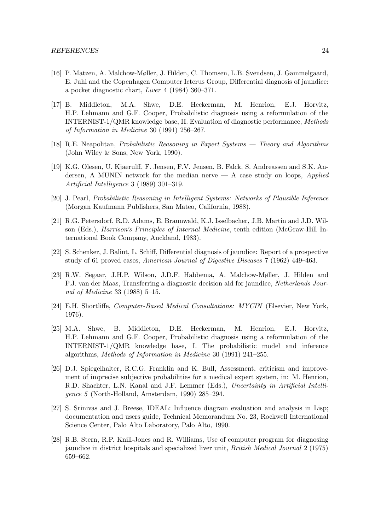- [16] P. Matzen, A. Malchow-Møller, J. Hilden, C. Thomsen, L.B. Svendsen, J. Gammelgaard, E. Juhl and the Copenhagen Computer Icterus Group, Differential diagnosis of jaundice: a pocket diagnostic chart, Liver 4 (1984) 360–371.
- [17] B. Middleton, M.A. Shwe, D.E. Heckerman, M. Henrion, E.J. Horvitz, H.P. Lehmann and G.F. Cooper, Probabilistic diagnosis using a reformulation of the INTERNIST-1/QMR knowledge base, II. Evaluation of diagnostic performance, Methods of Information in Medicine 30 (1991) 256–267.
- [18] R.E. Neapolitan, Probabilistic Reasoning in Expert Systems Theory and Algorithms (John Wiley & Sons, New York, 1990).
- [19] K.G. Olesen, U. Kjaerulff, F. Jensen, F.V. Jensen, B. Falck, S. Andreassen and S.K. Andersen, A MUNIN network for the median nerve  $-$  A case study on loops, *Applied* Artificial Intelligence 3 (1989) 301–319.
- [20] J. Pearl, Probabilistic Reasoning in Intelligent Systems: Networks of Plausible Inference (Morgan Kaufmann Publishers, San Mateo, California, 1988).
- [21] R.G. Petersdorf, R.D. Adams, E. Braunwald, K.J. Isselbacher, J.B. Martin and J.D. Wilson (Eds.), Harrison's Principles of Internal Medicine, tenth edition (McGraw-Hill International Book Company, Auckland, 1983).
- [22] S. Schenker, J. Balint, L. Schiff, Differential diagnosis of jaundice: Report of a prospective study of 61 proved cases, American Journal of Digestive Diseases 7 (1962) 449–463.
- [23] R.W. Segaar, J.H.P. Wilson, J.D.F. Habbema, A. Malchow-Møller, J. Hilden and P.J. van der Maas, Transferring a diagnostic decision aid for jaundice, Netherlands Journal of Medicine 33 (1988) 5–15.
- [24] E.H. Shortliffe, Computer-Based Medical Consultations: MYCIN (Elsevier, New York, 1976).
- [25] M.A. Shwe, B. Middleton, D.E. Heckerman, M. Henrion, E.J. Horvitz, H.P. Lehmann and G.F. Cooper, Probabilistic diagnosis using a reformulation of the INTERNIST-1/QMR knowledge base, I. The probabilistic model and inference algorithms, Methods of Information in Medicine 30 (1991) 241–255.
- [26] D.J. Spiegelhalter, R.C.G. Franklin and K. Bull, Assessment, criticism and improvement of imprecise subjective probabilities for a medical expert system, in: M. Henrion, R.D. Shachter, L.N. Kanal and J.F. Lemmer (Eds.), Uncertainty in Artificial Intelligence 5 (North-Holland, Amsterdam, 1990) 285–294.
- [27] S. Srinivas and J. Breese, IDEAL: Influence diagram evaluation and analysis in Lisp; documentation and users guide, Technical Memorandum No. 23, Rockwell International Science Center, Palo Alto Laboratory, Palo Alto, 1990.
- [28] R.B. Stern, R.P. Knill-Jones and R. Williams, Use of computer program for diagnosing jaundice in district hospitals and specialized liver unit, British Medical Journal 2 (1975) 659–662.